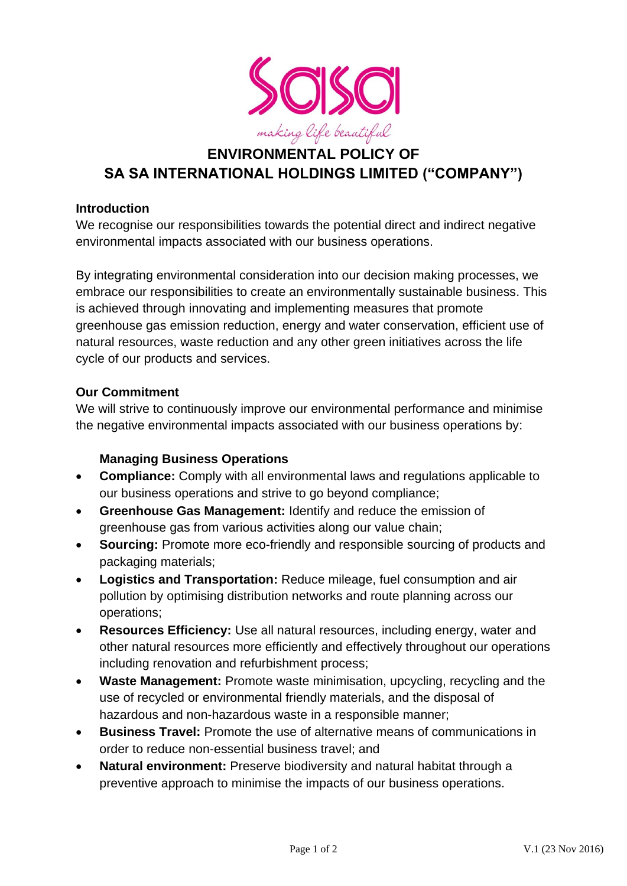

# **ENVIRONMENTAL POLICY OF SA SA INTERNATIONAL HOLDINGS LIMITED ("COMPANY")**

# **Introduction**

We recognise our responsibilities towards the potential direct and indirect negative environmental impacts associated with our business operations.

By integrating environmental consideration into our decision making processes, we embrace our responsibilities to create an environmentally sustainable business. This is achieved through innovating and implementing measures that promote greenhouse gas emission reduction, energy and water conservation, efficient use of natural resources, waste reduction and any other green initiatives across the life cycle of our products and services.

# **Our Commitment**

We will strive to continuously improve our environmental performance and minimise the negative environmental impacts associated with our business operations by:

# **Managing Business Operations**

- **Compliance:** Comply with all environmental laws and regulations applicable to our business operations and strive to go beyond compliance;
- **Greenhouse Gas Management:** Identify and reduce the emission of greenhouse gas from various activities along our value chain;
- **Sourcing:** Promote more eco-friendly and responsible sourcing of products and packaging materials;
- **Logistics and Transportation:** Reduce mileage, fuel consumption and air pollution by optimising distribution networks and route planning across our operations;
- **Resources Efficiency:** Use all natural resources, including energy, water and other natural resources more efficiently and effectively throughout our operations including renovation and refurbishment process;
- **Waste Management:** Promote waste minimisation, upcycling, recycling and the use of recycled or environmental friendly materials, and the disposal of hazardous and non-hazardous waste in a responsible manner;
- **Business Travel:** Promote the use of alternative means of communications in order to reduce non-essential business travel; and
- **Natural environment:** Preserve biodiversity and natural habitat through a preventive approach to minimise the impacts of our business operations.